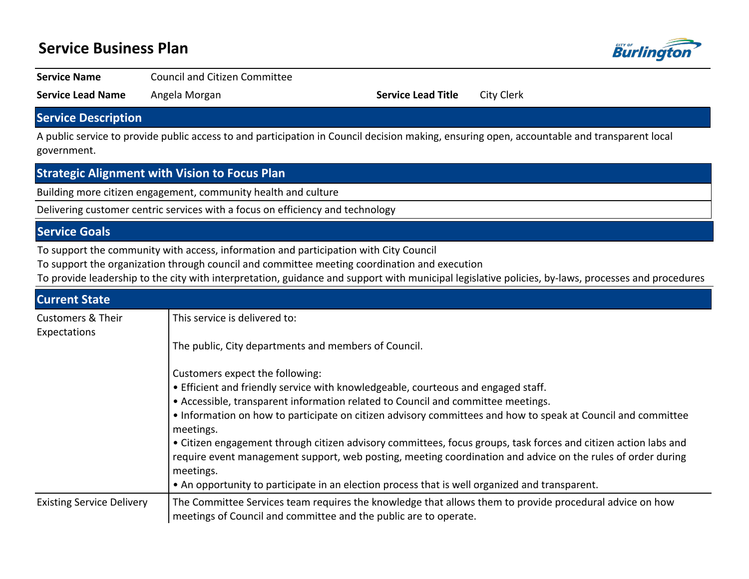## **Service Business Plan**



#### **Service Name Council and Citizen Committee**

**Service Lead Name** Angela Morgan **Service Lead Title** City Clerk

## **Service Description**

A public service to provide public access to and participation in Council decision making, ensuring open, accountable and transparent local government.

#### **Strategic Alignment with Vision to Focus Plan**

Building more citizen engagement, community health and culture

Delivering customer centric services with a focus on efficiency and technology

#### **Service Goals**

To support the community with access, information and participation with City Council

To support the organization through council and committee meeting coordination and execution

To provide leadership to the city with interpretation, guidance and support with municipal legislative policies, by-laws, processes and procedures

| <b>Current State</b>                         |                                                                                                                                                                                                                                             |  |  |  |  |  |
|----------------------------------------------|---------------------------------------------------------------------------------------------------------------------------------------------------------------------------------------------------------------------------------------------|--|--|--|--|--|
| <b>Customers &amp; Their</b><br>Expectations | This service is delivered to:                                                                                                                                                                                                               |  |  |  |  |  |
|                                              | The public, City departments and members of Council.                                                                                                                                                                                        |  |  |  |  |  |
|                                              | Customers expect the following:                                                                                                                                                                                                             |  |  |  |  |  |
|                                              | • Efficient and friendly service with knowledgeable, courteous and engaged staff.                                                                                                                                                           |  |  |  |  |  |
|                                              | • Accessible, transparent information related to Council and committee meetings.                                                                                                                                                            |  |  |  |  |  |
|                                              | • Information on how to participate on citizen advisory committees and how to speak at Council and committee<br>meetings.                                                                                                                   |  |  |  |  |  |
|                                              | • Citizen engagement through citizen advisory committees, focus groups, task forces and citizen action labs and<br>require event management support, web posting, meeting coordination and advice on the rules of order during<br>meetings. |  |  |  |  |  |
|                                              | • An opportunity to participate in an election process that is well organized and transparent.                                                                                                                                              |  |  |  |  |  |
| <b>Existing Service Delivery</b>             | The Committee Services team requires the knowledge that allows them to provide procedural advice on how<br>meetings of Council and committee and the public are to operate.                                                                 |  |  |  |  |  |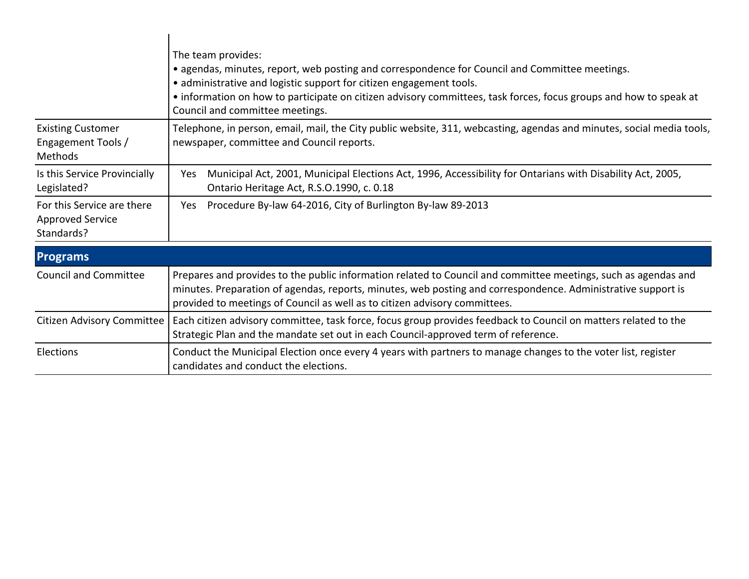|                                                                     | The team provides:<br>• agendas, minutes, report, web posting and correspondence for Council and Committee meetings.<br>• administrative and logistic support for citizen engagement tools.<br>• information on how to participate on citizen advisory committees, task forces, focus groups and how to speak at<br>Council and committee meetings. |  |  |  |  |  |  |
|---------------------------------------------------------------------|-----------------------------------------------------------------------------------------------------------------------------------------------------------------------------------------------------------------------------------------------------------------------------------------------------------------------------------------------------|--|--|--|--|--|--|
| <b>Existing Customer</b><br>Engagement Tools /<br>Methods           | Telephone, in person, email, mail, the City public website, 311, webcasting, agendas and minutes, social media tools,<br>newspaper, committee and Council reports.                                                                                                                                                                                  |  |  |  |  |  |  |
| Is this Service Provincially<br>Legislated?                         | Municipal Act, 2001, Municipal Elections Act, 1996, Accessibility for Ontarians with Disability Act, 2005,<br><b>Yes</b><br>Ontario Heritage Act, R.S.O.1990, c. 0.18                                                                                                                                                                               |  |  |  |  |  |  |
| For this Service are there<br><b>Approved Service</b><br>Standards? | Procedure By-law 64-2016, City of Burlington By-law 89-2013<br>Yes.                                                                                                                                                                                                                                                                                 |  |  |  |  |  |  |
| <b>Programs</b>                                                     |                                                                                                                                                                                                                                                                                                                                                     |  |  |  |  |  |  |
| <b>Council and Committee</b>                                        | Prepares and provides to the public information related to Council and committee meetings, such as agendas and<br>minutes. Preparation of agendas, reports, minutes, web posting and correspondence. Administrative support is<br>provided to meetings of Council as well as to citizen advisory committees.                                        |  |  |  |  |  |  |
| <b>Citizen Advisory Committee</b>                                   | Each citizen advisory committee, task force, focus group provides feedback to Council on matters related to the<br>Strategic Plan and the mandate set out in each Council-approved term of reference.                                                                                                                                               |  |  |  |  |  |  |
| Elections                                                           | Conduct the Municipal Election once every 4 years with partners to manage changes to the voter list, register<br>candidates and conduct the elections.                                                                                                                                                                                              |  |  |  |  |  |  |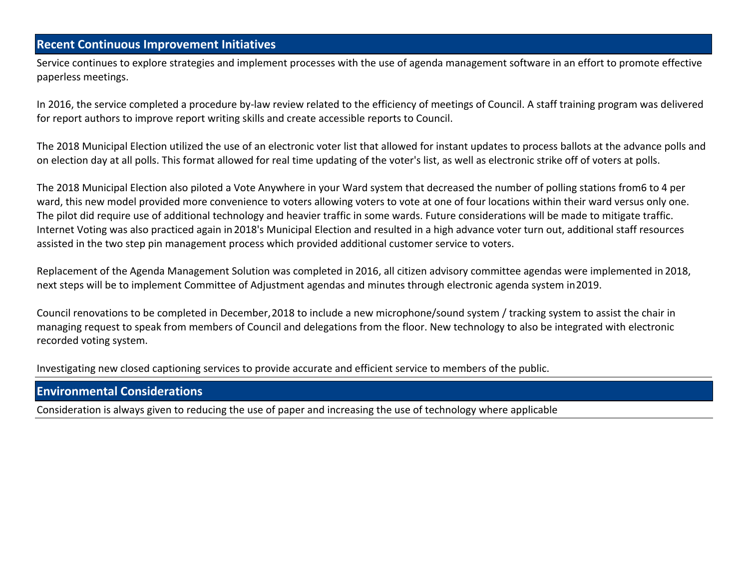## **Recent Continuous Improvement Initiatives**

Service continues to explore strategies and implement processes with the use of agenda management software in an effort to promote effective paperless meetings.

In 2016, the service completed a procedure by-law review related to the efficiency of meetings of Council. A staff training program was delivered for report authors to improve report writing skills and create accessible reports to Council.

The 2018 Municipal Election utilized the use of an electronic voter list that allowed for instant updates to process ballots at the advance polls and on election day at all polls. This format allowed for real time updating of the voter's list, as well as electronic strike off of voters at polls.

The 2018 Municipal Election also piloted a Vote Anywhere in your Ward system that decreased the number of polling stations from 6 to 4 per ward, this new model provided more convenience to voters allowing voters to vote at one of four locations within their ward versus only one. The pilot did require use of additional technology and heavier traffic in some wards. Future considerations will be made to mitigate traffic. Internet Voting was also practiced again in 2018's Municipal Election and resulted in a high advance voter turn out, additional staff resources assisted in the two step pin management process which provided additional customer service to voters.

Replacement of the Agenda Management Solution was completed in 2016, all citizen advisory committee agendas were implemented in 2018, next steps will be to implement Committee of Adjustment agendas and minutes through electronic agenda system in 2019.

Council renovations to be completed in December, 2018 to include a new microphone/sound system / tracking system to assist the chair in managing request to speak from members of Council and delegations from the floor. New technology to also be integrated with electronic recorded voting system.

Investigating new closed captioning services to provide accurate and efficient service to members of the public.

### **Environmental Considerations**

Consideration is always given to reducing the use of paper and increasing the use of technology where applicable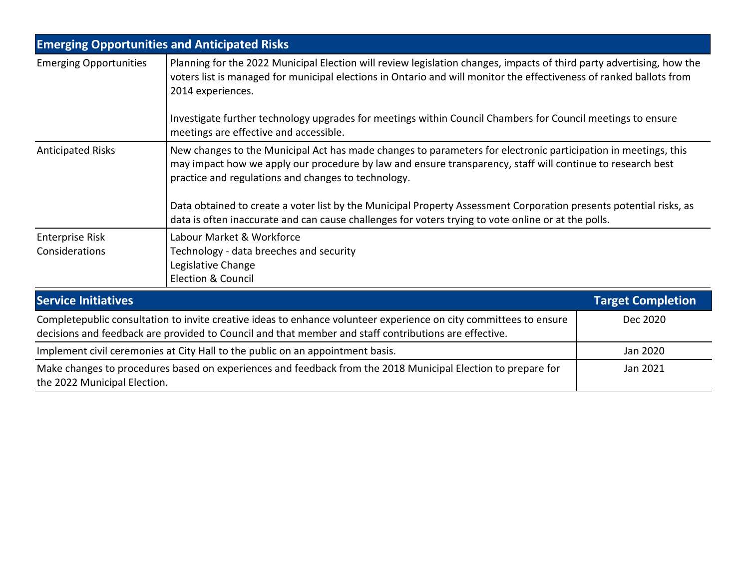| <b>Emerging Opportunities and Anticipated Risks</b>                                                                                                                                                                        |                                                                                                                                                                                                                                                                                                                                                                                                                                                                                                                  |                          |  |  |  |  |
|----------------------------------------------------------------------------------------------------------------------------------------------------------------------------------------------------------------------------|------------------------------------------------------------------------------------------------------------------------------------------------------------------------------------------------------------------------------------------------------------------------------------------------------------------------------------------------------------------------------------------------------------------------------------------------------------------------------------------------------------------|--------------------------|--|--|--|--|
| <b>Emerging Opportunities</b>                                                                                                                                                                                              | Planning for the 2022 Municipal Election will review legislation changes, impacts of third party advertising, how the<br>voters list is managed for municipal elections in Ontario and will monitor the effectiveness of ranked ballots from<br>2014 experiences.                                                                                                                                                                                                                                                |                          |  |  |  |  |
|                                                                                                                                                                                                                            | Investigate further technology upgrades for meetings within Council Chambers for Council meetings to ensure<br>meetings are effective and accessible.                                                                                                                                                                                                                                                                                                                                                            |                          |  |  |  |  |
| <b>Anticipated Risks</b>                                                                                                                                                                                                   | New changes to the Municipal Act has made changes to parameters for electronic participation in meetings, this<br>may impact how we apply our procedure by law and ensure transparency, staff will continue to research best<br>practice and regulations and changes to technology.<br>Data obtained to create a voter list by the Municipal Property Assessment Corporation presents potential risks, as<br>data is often inaccurate and can cause challenges for voters trying to vote online or at the polls. |                          |  |  |  |  |
| <b>Enterprise Risk</b><br>Considerations                                                                                                                                                                                   | Labour Market & Workforce<br>Technology - data breeches and security<br>Legislative Change<br><b>Election &amp; Council</b>                                                                                                                                                                                                                                                                                                                                                                                      |                          |  |  |  |  |
| <b>Service Initiatives</b>                                                                                                                                                                                                 |                                                                                                                                                                                                                                                                                                                                                                                                                                                                                                                  | <b>Target Completion</b> |  |  |  |  |
| Completepublic consultation to invite creative ideas to enhance volunteer experience on city committees to ensure<br>decisions and feedback are provided to Council and that member and staff contributions are effective. |                                                                                                                                                                                                                                                                                                                                                                                                                                                                                                                  | Dec 2020                 |  |  |  |  |
| Implement civil ceremonies at City Hall to the public on an appointment basis.                                                                                                                                             | Jan 2020                                                                                                                                                                                                                                                                                                                                                                                                                                                                                                         |                          |  |  |  |  |
| Make changes to procedures based on experiences and feedback from the 2018 Municipal Election to prepare for<br>the 2022 Municipal Election.                                                                               | Jan 2021                                                                                                                                                                                                                                                                                                                                                                                                                                                                                                         |                          |  |  |  |  |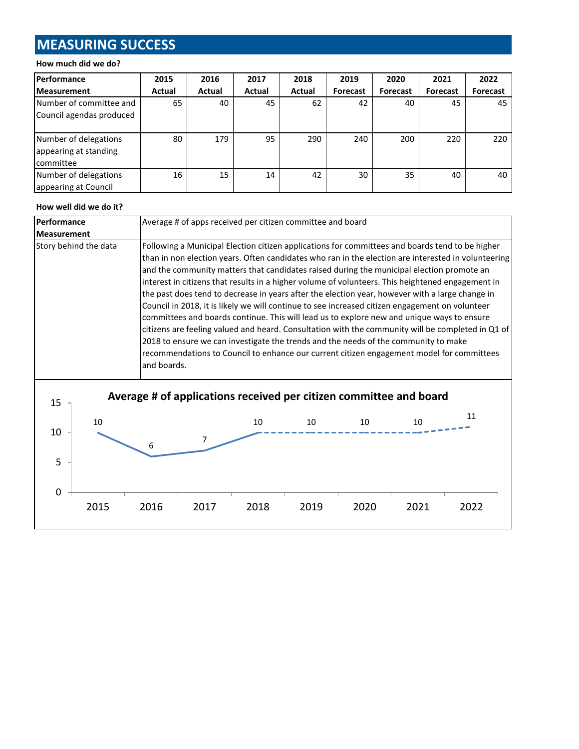# **MEASURING SUCCESS**

#### **How much did we do?**

| <b>Performance</b>                                           | 2015   | 2016   | 2017   | 2018   | 2019            | 2020            | 2021            | 2022            |
|--------------------------------------------------------------|--------|--------|--------|--------|-----------------|-----------------|-----------------|-----------------|
| <b>Measurement</b>                                           | Actual | Actual | Actual | Actual | <b>Forecast</b> | <b>Forecast</b> | <b>Forecast</b> | <b>Forecast</b> |
| Number of committee and                                      | 65     | 40     | 45     | 62     | 42              | 40              | 45              | 45              |
| Council agendas produced                                     |        |        |        |        |                 |                 |                 |                 |
| Number of delegations<br>appearing at standing<br>Icommittee | 80     | 179    | 95     | 290    | 240             | 200             | 220             | 220             |
| Number of delegations<br>appearing at Council                | 16     | 15     | 14     | 42     | 30              | 35              | 40              | 40              |

#### **How well did we do it?**

| Performance<br>Average # of apps received per citizen committee and board |      |      |                                                                                                                                                                                                                                                                                                                                                                                                                                                                                                                                                                                                                                                                                                                                                                                                                                                                                                                                                                                                                      |      |      |                                                                          |      |      |  |
|---------------------------------------------------------------------------|------|------|----------------------------------------------------------------------------------------------------------------------------------------------------------------------------------------------------------------------------------------------------------------------------------------------------------------------------------------------------------------------------------------------------------------------------------------------------------------------------------------------------------------------------------------------------------------------------------------------------------------------------------------------------------------------------------------------------------------------------------------------------------------------------------------------------------------------------------------------------------------------------------------------------------------------------------------------------------------------------------------------------------------------|------|------|--------------------------------------------------------------------------|------|------|--|
| <b>Measurement</b>                                                        |      |      |                                                                                                                                                                                                                                                                                                                                                                                                                                                                                                                                                                                                                                                                                                                                                                                                                                                                                                                                                                                                                      |      |      |                                                                          |      |      |  |
| Story behind the data                                                     |      |      | Following a Municipal Election citizen applications for committees and boards tend to be higher<br>than in non election years. Often candidates who ran in the election are interested in volunteering<br>and the community matters that candidates raised during the municipal election promote an<br>interest in citizens that results in a higher volume of volunteers. This heightened engagement in<br>the past does tend to decrease in years after the election year, however with a large change in<br>Council in 2018, it is likely we will continue to see increased citizen engagement on volunteer<br>committees and boards continue. This will lead us to explore new and unique ways to ensure<br>citizens are feeling valued and heard. Consultation with the community will be completed in Q1 of<br>2018 to ensure we can investigate the trends and the needs of the community to make<br>recommendations to Council to enhance our current citizen engagement model for committees<br>and boards. |      |      |                                                                          |      |      |  |
| 15<br>10                                                                  | 10   |      |                                                                                                                                                                                                                                                                                                                                                                                                                                                                                                                                                                                                                                                                                                                                                                                                                                                                                                                                                                                                                      | 10   | 10   | Average # of applications received per citizen committee and board<br>10 | 10   | 11   |  |
| 5                                                                         |      | 6    |                                                                                                                                                                                                                                                                                                                                                                                                                                                                                                                                                                                                                                                                                                                                                                                                                                                                                                                                                                                                                      |      |      |                                                                          |      |      |  |
| 0                                                                         | 2015 | 2016 | 2017                                                                                                                                                                                                                                                                                                                                                                                                                                                                                                                                                                                                                                                                                                                                                                                                                                                                                                                                                                                                                 | 2018 | 2019 | 2020                                                                     | 2021 | 2022 |  |